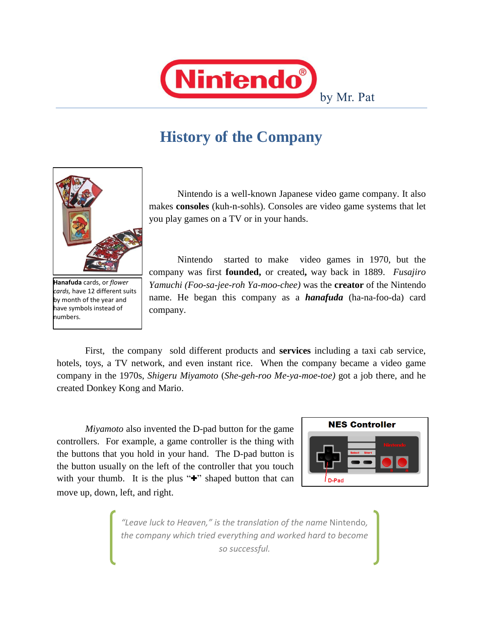

# **History of the Company**



**Hanafuda** cards, or *flower cards,* have 12 different suits by month of the year and have symbols instead of numbers.

Nintendo is a well-known Japanese video game company. It also makes **consoles** (kuh-n-sohls). Consoles are video game systems that let you play games on a TV or in your hands.

Nintendo started to make video games in 1970, but the company was first **founded,** or created**,** way back in 1889. *Fusajiro Yamuchi (Foo-sa-jee-roh Ya-moo-chee)* was the **creator** of the Nintendo name. He began this company as a *hanafuda* (ha-na-foo-da) card company.

First, the company sold different products and **services** including a taxi cab service, hotels, toys, a TV network, and even instant rice. When the company became a video game company in the 1970s, *Shigeru Miyamoto* (*She-geh-roo Me-ya-moe-toe)* got a job there, and he created Donkey Kong and Mario.

*Miyamoto* also invented the D-pad button for the game controllers. For example, a game controller is the thing with the buttons that you hold in your hand. The D-pad button is the button usually on the left of the controller that you touch with your thumb. It is the plus "**+**" shaped button that can move up, down, left, and right.



*"Leave luck to Heaven," is the translation of the name* Nintendo*, the company which tried everything and worked hard to become so successful.*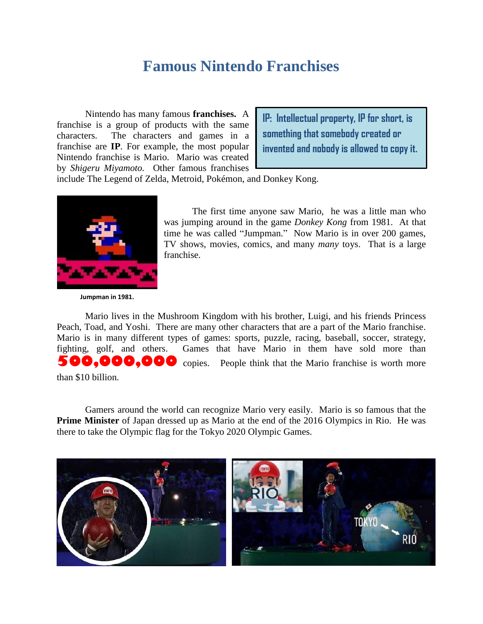#### **Famous Nintendo Franchises**

Nintendo has many famous **franchises.** A franchise is a group of products with the same characters. The characters and games in a franchise are **IP**. For example, the most popular Nintendo franchise is Mario. Mario was created by *Shigeru Miyamoto.* Other famous franchises

**IP: Intellectual property, IP for short, is something that somebody created or invented and nobody is allowed to copy it.** 

include The Legend of Zelda, Metroid, Pokémon, and Donkey Kong.



The first time anyone saw Mario, he was a little man who was jumping around in the game *Donkey Kong* from 1981. At that time he was called "Jumpman." Now Mario is in over 200 games, TV shows, movies, comics, and many *many* toys. That is a large franchise.

**Jumpman in 1981.**

Mario lives in the Mushroom Kingdom with his brother, Luigi, and his friends Princess Peach, Toad, and Yoshi. There are many other characters that are a part of the Mario franchise. Mario is in many different types of games: sports, puzzle, racing, baseball, soccer, strategy, fighting, golf, and others. Games that have Mario in them have sold more than **500,000,000** copies. People think that the Mario franchise is worth more than \$10 billion.

Gamers around the world can recognize Mario very easily. Mario is so famous that the **Prime Minister** of Japan dressed up as Mario at the end of the 2016 Olympics in Rio. He was there to take the Olympic flag for the Tokyo 2020 Olympic Games.

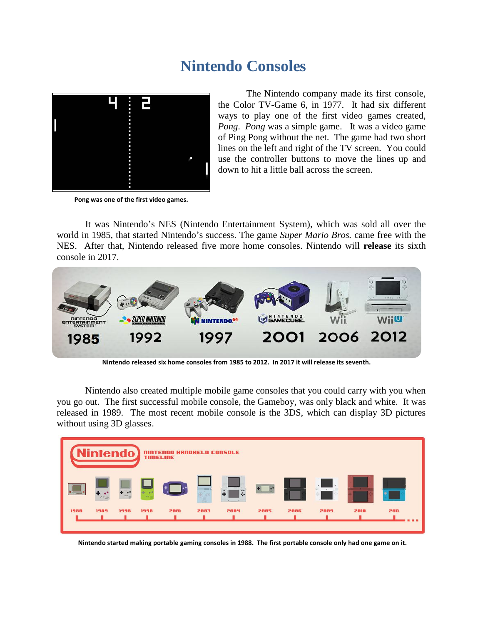## **Nintendo Consoles**



**Pong was one of the first video games.**

The Nintendo company made its first console, the Color TV-Game 6, in 1977. It had six different ways to play one of the first video games created, *Pong*. *Pong* was a simple game. It was a video game of Ping Pong without the net. The game had two short lines on the left and right of the TV screen. You could use the controller buttons to move the lines up and down to hit a little ball across the screen.

It was Nintendo's NES (Nintendo Entertainment System), which was sold all over the world in 1985, that started Nintendo's success. The game *Super Mario Bros.* came free with the NES. After that, Nintendo released five more home consoles. Nintendo will **release** its sixth console in 2017.



**Nintendo released six home consoles from 1985 to 2012. In 2017 it will release its seventh.**

Nintendo also created multiple mobile game consoles that you could carry with you when you go out. The first successful mobile console, the Gameboy, was only black and white. It was released in 1989. The most recent mobile console is the 3DS, which can display 3D pictures without using 3D glasses.



**Nintendo started making portable gaming consoles in 1988. The first portable console only had one game on it.**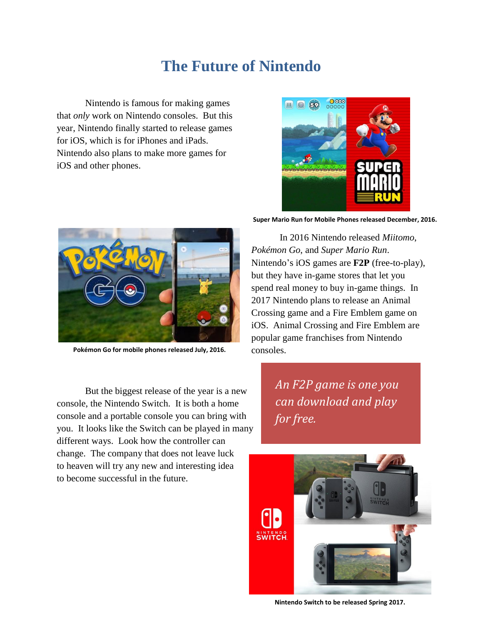## **The Future of Nintendo**

Nintendo is famous for making games that *only* work on Nintendo consoles. But this year, Nintendo finally started to release games for iOS, which is for iPhones and iPads. Nintendo also plans to make more games for iOS and other phones.





**Pokémon Go for mobile phones released July, 2016.**

But the biggest release of the year is a new console, the Nintendo Switch. It is both a home console and a portable console you can bring with you. It looks like the Switch can be played in many different ways. Look how the controller can change. The company that does not leave luck to heaven will try any new and interesting idea to become successful in the future.

**Super Mario Run for Mobile Phones released December, 2016.**

In 2016 Nintendo released *Miitomo*, *Pokémon Go*, and *Super Mario Run*. Nintendo's iOS games are **F2P** (free-to-play), but they have in-game stores that let you spend real money to buy in-game things. In 2017 Nintendo plans to release an Animal Crossing game and a Fire Emblem game on iOS. Animal Crossing and Fire Emblem are popular game franchises from Nintendo consoles.

> *An F2P game is one you can download and play for free.*



**Nintendo Switch to be released Spring 2017.**